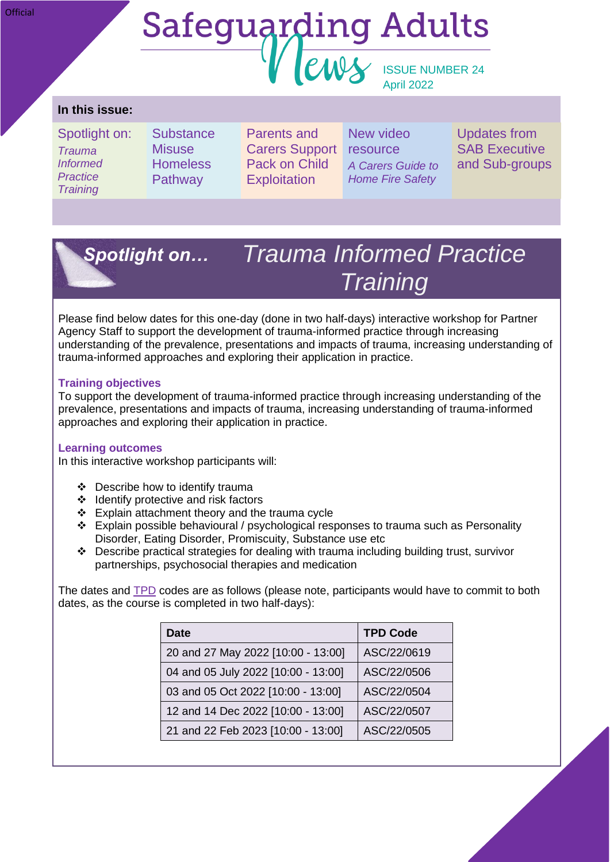#### **Official**

# **Safeguarding Adults** ISSUE NUMBER 24 April 2022

### **In this issue:**

Spotlight on: *Trauma Informed Practice Training*

**Substance Misuse Homeless Pathway** 

Parents and Carers Support Pack on Child **Exploitation** 

New video **resource** *A Carers Guide to Home Fire Safety*

Updates from **SAB Executive** and Sub-groups



# *Trauma Informed Practice Training*

Please find below dates for this one-day (done in two half-days) interactive workshop for Partner Agency Staff to support the development of trauma-informed practice through increasing understanding of the prevalence, presentations and impacts of trauma, increasing understanding of trauma-informed approaches and exploring their application in practice.

#### **Training objectives**

To support the development of trauma-informed practice through increasing understanding of the prevalence, presentations and impacts of trauma, increasing understanding of trauma-informed approaches and exploring their application in practice.

#### **Learning outcomes**

In this interactive workshop participants will:

- ❖ Describe how to identify trauma
- ❖ Identify protective and risk factors
- ❖ Explain attachment theory and the trauma cycle
- $\div$  Explain possible behavioural / psychological responses to trauma such as Personality Disorder, Eating Disorder, Promiscuity, Substance use etc
- ❖ Describe practical strategies for dealing with trauma including building trust, survivor partnerships, psychosocial therapies and medication

The dates and [TPD](https://adultsocialcare.tpd.org.uk/courses/bookings/default.asp?ds=1&keyword=Trauma-informed%20Practice) codes are as follows (please note, participants would have to commit to both dates, as the course is completed in two half-days):

| <b>Date</b>                         | <b>TPD Code</b> |
|-------------------------------------|-----------------|
| 20 and 27 May 2022 [10:00 - 13:00]  | ASC/22/0619     |
| 04 and 05 July 2022 [10:00 - 13:00] | ASC/22/0506     |
| 03 and 05 Oct 2022 [10:00 - 13:00]  | ASC/22/0504     |
| 12 and 14 Dec 2022 [10:00 - 13:00]  | ASC/22/0507     |
| 21 and 22 Feb 2023 [10:00 - 13:00]  | ASC/22/0505     |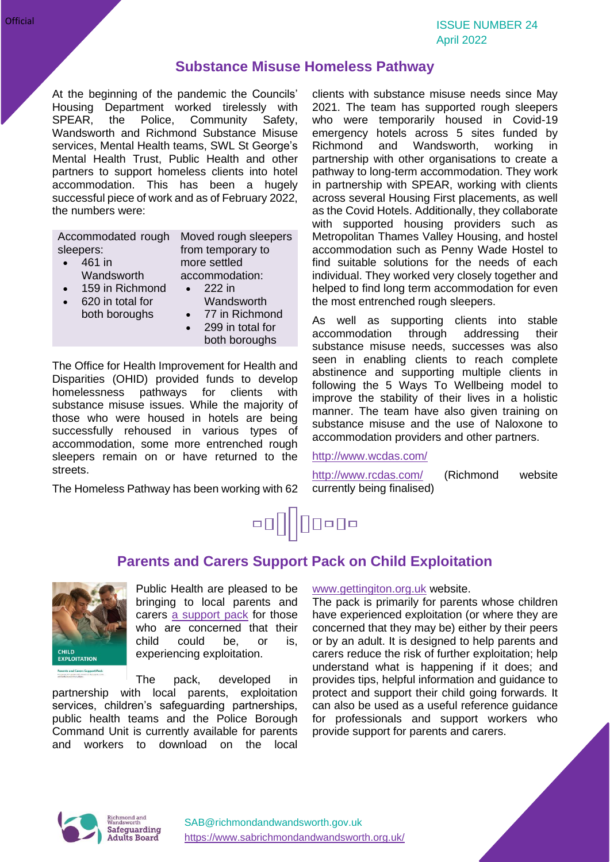## **Substance Misuse Homeless Pathway**

At the beginning of the pandemic the Councils' Housing Department worked tirelessly with SPEAR, the Police, Community Safety, Wandsworth and Richmond Substance Misuse services, Mental Health teams, SWL St George's Mental Health Trust, Public Health and other partners to support homeless clients into hotel accommodation. This has been a hugely successful piece of work and as of February 2022, the numbers were:

Accommodated rough sleepers: Moved rough sleepers from temporary to

• 461 in **Wandsworth**  more settled accommodation: • 222 in

- 159 in Richmond • 620 in total for both boroughs
- **Wandsworth**
- 77 in Richmond
- 299 in total for both boroughs

The Office for Health Improvement for Health and Disparities (OHID) provided funds to develop homelessness pathways for clients with substance misuse issues. While the majority of those who were housed in hotels are being successfully rehoused in various types of accommodation, some more entrenched rough sleepers remain on or have returned to the streets.

The Homeless Pathway has been working with 62

clients with substance misuse needs since May 2021. The team has supported rough sleepers who were temporarily housed in Covid-19 emergency hotels across 5 sites funded by Richmond and Wandsworth, working in partnership with other organisations to create a pathway to long-term accommodation. They work in partnership with SPEAR, working with clients across several Housing First placements, as well as the Covid Hotels. Additionally, they collaborate with supported housing providers such as Metropolitan Thames Valley Housing, and hostel accommodation such as Penny Wade Hostel to find suitable solutions for the needs of each individual. They worked very closely together and helped to find long term accommodation for even the most entrenched rough sleepers.

As well as supporting clients into stable accommodation through addressing their substance misuse needs, successes was also seen in enabling clients to reach complete abstinence and supporting multiple clients in following the 5 Ways To Wellbeing model to improve the stability of their lives in a holistic manner. The team have also given training on substance misuse and the use of Naloxone to accommodation providers and other partners.

#### <http://www.wcdas.com/>

<http://www.rcdas.com/> (Richmond website currently being finalised)

# **•0|||0**0•0•

## **Parents and Carers Support Pack on Child Exploitation**



Public Health are pleased to be bringing to local parents and carers [a support pack](https://www.gettingiton.org.uk/files/ParentsandCarersSupportPack.pdf) for those who are concerned that their child could be, or is, experiencing exploitation.

The pack, developed in

partnership with local parents, exploitation services, children's safeguarding partnerships, public health teams and the Police Borough Command Unit is currently available for parents and workers to download on the local

[www.gettingiton.org.uk](http://www.gettingiton.org.uk/) website.

The pack is primarily for parents whose children have experienced exploitation (or where they are concerned that they may be) either by their peers or by an adult. It is designed to help parents and carers reduce the risk of further exploitation; help understand what is happening if it does; and provides tips, helpful information and guidance to protect and support their child going forwards. It can also be used as a useful reference guidance for professionals and support workers who provide support for parents and carers.

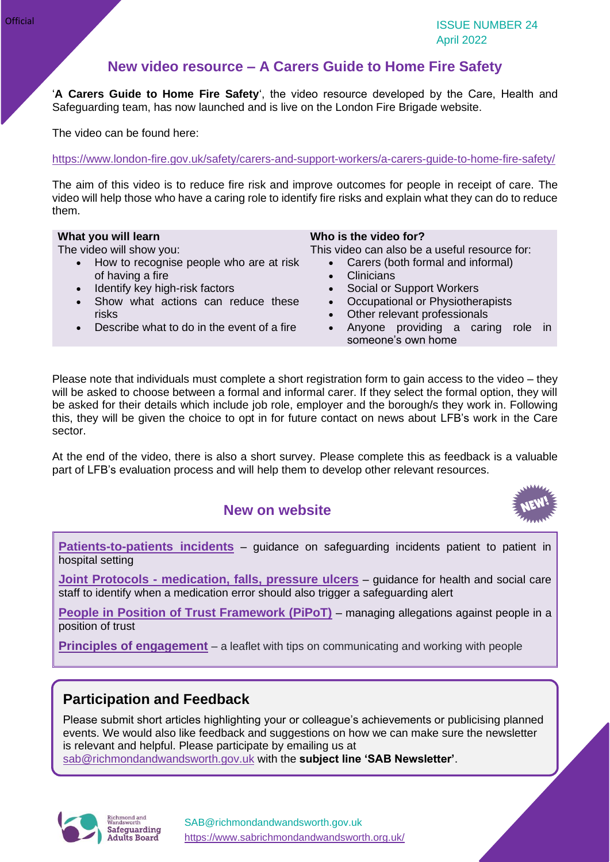# **New video resource – A Carers Guide to Home Fire Safety**

'**A Carers Guide to Home Fire Safety**', the video resource developed by the Care, Health and Safeguarding team, has now launched and is live on the London Fire Brigade website.

The video can be found here:

<https://www.london-fire.gov.uk/safety/carers-and-support-workers/a-carers-guide-to-home-fire-safety/>

The aim of this video is to reduce fire risk and improve outcomes for people in receipt of care. The video will help those who have a caring role to identify fire risks and explain what they can do to reduce them.

#### **What you will learn**

The video will show you:

- How to recognise people who are at risk of having a fire
- Identify key high-risk factors
- Show what actions can reduce these risks
- Describe what to do in the event of a fire

#### **Who is the video for?**

This video can also be a useful resource for:

- Carers (both formal and informal)
- **Clinicians**
- Social or Support Workers
- Occupational or Physiotherapists
- Other relevant professionals
- Anyone providing a caring role in someone's own home

Please note that individuals must complete a short registration form to gain access to the video – they will be asked to choose between a formal and informal carer. If they select the formal option, they will be asked for their details which include job role, employer and the borough/s they work in. Following this, they will be given the choice to opt in for future contact on news about LFB's work in the Care sector.

At the end of the video, there is also a short survey. Please complete this as feedback is a valuable part of LFB's evaluation process and will help them to develop other relevant resources.

### **New on website**



**[Patients-to-patients incidents](https://www.sabrichmondandwandsworth.org.uk/media/2elcxtfl/patient_to_patient_incidents.pdf)** – guidance on safeguarding incidents patient to pa[tient i](http://themobilecity.nl/2011/04/21/website-change-fresh-look-and-new-direction-for-the-mobile-city/)n hospital setting

**Joint Protocols - [medication, falls, pressure ulcers](https://www.sabrichmondandwandsworth.org.uk/media/5isjsofa/joint_protocols_medication_falls_pressure_ulcers_2022.pdf)** – guidance for health and social care staff to identify when a medication error should also trigger a safeguarding alert

**[People in Position of Trust Framework \(PiPoT\)](https://www.sabrichmondandwandsworth.org.uk/media/00cedlbb/people_in_a_position_of_trust_framework.pdf)** – managing allegations against people in a position of trust

**[Principles of engagement](https://www.sabrichmondandwandsworth.org.uk/media/fb3ncth2/principles_of_engagement.pdf)** – a leaflet with tips on communicating and working with peop[le](https://creativecommons.org/licenses/by-nc-sa/3.0/)

## **Participation and Feedback**

Please submit short articles highlighting your or colleague's achievements or publicising planned events. We would also like feedback and suggestions on how we can make sure the newsletter is relevant and helpful. Please participate by emailing us at [sab@richmondandwandsworth.gov.uk](mailto:sab@richmondandwandsworth.gov.uk) with the **subject line 'SAB Newsletter'**.